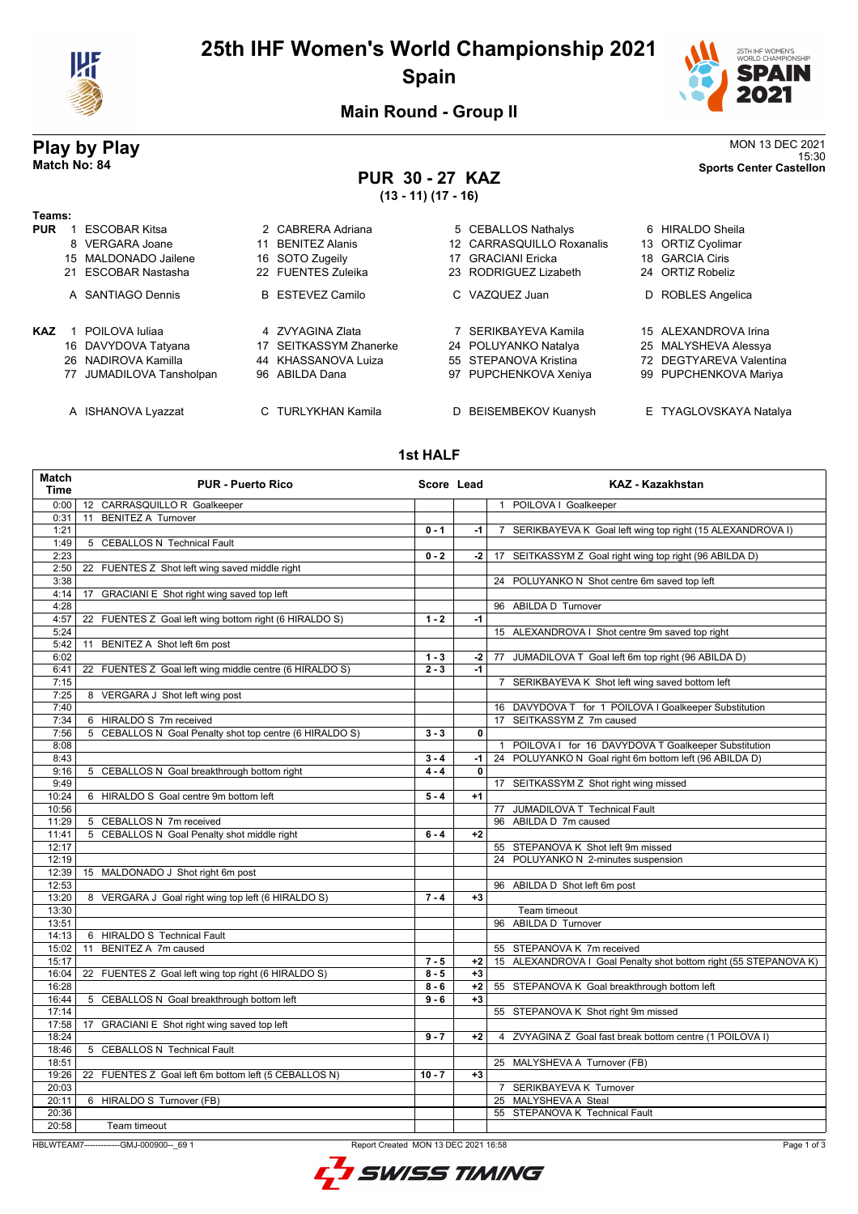

## **25th IHF Women's World Championship 2021 Spain**



15:30 **Match No: 84 Sports Center Castellon**

**Main Round - Group II**

# **Play by Play**<br>MON 13 DEC 2021<br>Sports Center Castellon<br>Sports Center Castellon

## **PUR 30 - 27 KAZ**

**(13 - 11) (17 - 16)**

| Teams:     |                          |    |                         |                           |                         |
|------------|--------------------------|----|-------------------------|---------------------------|-------------------------|
| <b>PUR</b> | ESCOBAR Kitsa            |    | 2 CABRERA Adriana       | 5 CEBALLOS Nathalys       | 6 HIRALDO Sheila        |
|            | 8 VERGARA Joane          | 11 | <b>BENITEZ Alanis</b>   | 12 CARRASQUILLO Roxanalis | 13 ORTIZ Cyolimar       |
|            | 15 MALDONADO Jailene     |    | 16 SOTO Zugeily         | 17 GRACIANI Ericka        | 18 GARCIA Ciris         |
|            | 21 ESCOBAR Nastasha      |    | 22 FUENTES Zuleika      | 23 RODRIGUEZ Lizabeth     | 24 ORTIZ Robeliz        |
|            | A SANTIAGO Dennis        |    | <b>B</b> ESTEVEZ Camilo | C VAZQUEZ Juan            | D ROBLES Angelica       |
| <b>KAZ</b> | POILOVA Iuliaa           |    | 4 ZVYAGINA Zlata        | 7 SERIKBAYEVA Kamila      | 15 ALEXANDROVA Irina    |
|            | 16 DAVYDOVA Tatyana      |    | 17 SEITKASSYM Zhanerke  | 24 POLUYANKO Natalya      | 25 MALYSHEVA Alessya    |
|            | 26 NADIROVA Kamilla      |    | 44 KHASSANOVA Luiza     | 55 STEPANOVA Kristina     | 72 DEGTYAREVA Valentina |
|            | 77 JUMADILOVA Tansholpan |    | 96 ABILDA Dana          | 97 PUPCHENKOVA Xeniya     | 99 PUPCHENKOVA Mariya   |
|            | A ISHANOVA Lyazzat       | C. | <b>TURLYKHAN Kamila</b> | D BEISEMBEKOV Kuanysh     | E TYAGLOVSKAYA Natalya  |

#### **1st HALF**

| <b>Match</b><br><b>Time</b> | <b>PUR - Puerto Rico</b>                                   | Score Lead |              | <b>KAZ - Kazakhstan</b>                                          |
|-----------------------------|------------------------------------------------------------|------------|--------------|------------------------------------------------------------------|
| 0:00                        | 12 CARRASQUILLO R Goalkeeper                               |            |              | 1 POILOVA I Goalkeeper                                           |
| 0:31                        | <b>BENITEZ A Turnover</b><br>11                            |            |              |                                                                  |
| 1:21                        |                                                            | $0 - 1$    | -1           | 7 SERIKBAYEVA K Goal left wing top right (15 ALEXANDROVA I)      |
| 1:49                        | 5 CEBALLOS N Technical Fault                               |            |              |                                                                  |
| 2:23                        |                                                            | $0 - 2$    | $-2$         | 17 SEITKASSYM Z Goal right wing top right (96 ABILDA D)          |
| 2:50                        | 22 FUENTES Z Shot left wing saved middle right             |            |              |                                                                  |
| 3:38                        |                                                            |            |              | 24 POLUYANKO N Shot centre 6m saved top left                     |
| 4:14                        | GRACIANI E Shot right wing saved top left<br>17            |            |              |                                                                  |
| 4:28                        |                                                            |            |              | 96 ABILDA D Turnover                                             |
| 4:57                        | FUENTES Z Goal left wing bottom right (6 HIRALDO S)<br>22  | $1 - 2$    | $-1$         |                                                                  |
| 5:24                        |                                                            |            |              | 15 ALEXANDROVA I Shot centre 9m saved top right                  |
| 5:42                        | BENITEZ A Shot left 6m post<br>11                          |            |              |                                                                  |
| 6:02                        |                                                            | $1 - 3$    | $-2$         | 77 JUMADILOVA T Goal left 6m top right (96 ABILDA D)             |
| 6:41                        | FUENTES Z Goal left wing middle centre (6 HIRALDO S)<br>22 | $2 - 3$    | $-1$         |                                                                  |
| 7:15                        |                                                            |            |              | 7 SERIKBAYEVA K Shot left wing saved bottom left                 |
| 7:25                        | 8 VERGARA J Shot left wing post                            |            |              |                                                                  |
| 7:40                        |                                                            |            |              | 16 DAVYDOVA T for 1 POILOVA I Goalkeeper Substitution            |
| 7:34                        | 6 HIRALDO S 7m received                                    |            |              | 17 SEITKASSYM Z 7m caused                                        |
| 7:56                        | 5 CEBALLOS N Goal Penalty shot top centre (6 HIRALDO S)    | $3 - 3$    | 0            |                                                                  |
| 8:08                        |                                                            |            |              | POILOVA I for 16 DAVYDOVA T Goalkeeper Substitution              |
| 8:43                        |                                                            | $3 - 4$    | -1           | 24 POLUYANKO N Goal right 6m bottom left (96 ABILDA D)           |
| 9:16                        | 5 CEBALLOS N Goal breakthrough bottom right                | $4 - 4$    | $\mathbf{0}$ |                                                                  |
| 9:49                        |                                                            |            |              | 17 SEITKASSYM Z Shot right wing missed                           |
| 10:24                       | 6 HIRALDO S Goal centre 9m bottom left                     | $5 - 4$    | $+1$         |                                                                  |
| 10:56                       |                                                            |            |              | 77 JUMADILOVA T Technical Fault                                  |
| 11:29                       | 5 CEBALLOS N 7m received                                   |            |              | 96 ABILDA D 7m caused                                            |
| 11:41                       | 5 CEBALLOS N Goal Penalty shot middle right                | $6 - 4$    | $+2$         |                                                                  |
| 12:17                       |                                                            |            |              | 55 STEPANOVA K Shot left 9m missed                               |
| 12:19                       |                                                            |            |              | 24 POLUYANKO N 2-minutes suspension                              |
| 12:39                       | 15 MALDONADO J Shot right 6m post                          |            |              |                                                                  |
| 12:53                       |                                                            |            |              | 96 ABILDA D Shot left 6m post                                    |
| 13:20                       | 8 VERGARA J Goal right wing top left (6 HIRALDO S)         | $7 - 4$    | $+3$         |                                                                  |
| 13:30                       |                                                            |            |              | Team timeout                                                     |
| 13:51                       |                                                            |            |              | 96 ABILDA D Turnover                                             |
| 14:13                       | 6 HIRALDO S Technical Fault                                |            |              |                                                                  |
| 15:02                       | BENITEZ A 7m caused<br>11                                  |            |              | 55 STEPANOVA K 7m received                                       |
| 15:17                       |                                                            | $7 - 5$    | $+2$         | 15 ALEXANDROVA I Goal Penalty shot bottom right (55 STEPANOVA K) |
| 16:04                       | FUENTES Z Goal left wing top right (6 HIRALDO S)<br>22     | $8 - 5$    | $+3$         |                                                                  |
| 16:28                       |                                                            | $8 - 6$    | $+2$         | 55 STEPANOVA K Goal breakthrough bottom left                     |
| 16:44                       | 5 CEBALLOS N Goal breakthrough bottom left                 | $9 - 6$    | $+3$         |                                                                  |
| 17:14                       |                                                            |            |              | 55 STEPANOVA K Shot right 9m missed                              |
| 17:58                       | GRACIANI E Shot right wing saved top left<br>17            |            |              |                                                                  |
| 18:24                       |                                                            | $9 - 7$    | $+2$         | 4 ZVYAGINA Z Goal fast break bottom centre (1 POILOVA I)         |
| 18:46                       | 5 CEBALLOS N Technical Fault                               |            |              |                                                                  |
| 18:51                       |                                                            |            |              | 25 MALYSHEVA A Turnover (FB)                                     |
| 19:26                       | 22 FUENTES Z Goal left 6m bottom left (5 CEBALLOS N)       | $10 - 7$   | $+3$         |                                                                  |
| 20:03                       |                                                            |            |              | 7 SERIKBAYEVA K Turnover                                         |
| 20:11                       | 6 HIRALDO S Turnover (FB)                                  |            |              | 25 MALYSHEVA A Steal                                             |
| 20:36                       |                                                            |            |              | 55 STEPANOVA K Technical Fault                                   |
| 20:58                       | Team timeout                                               |            |              |                                                                  |

HBLWTEAM7---------------GMJ-000900--\_69 1 Report Created MON 13 DEC 2021 16:58

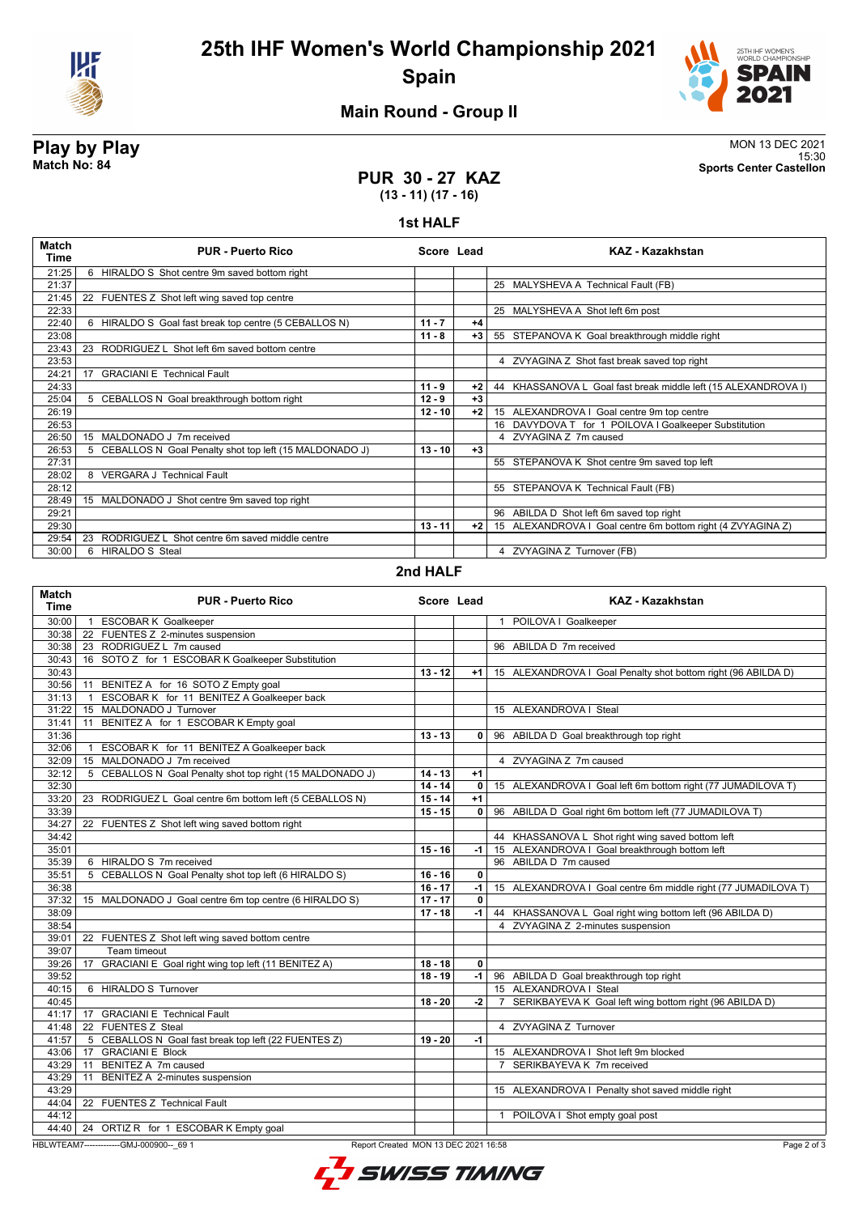



### **Main Round - Group II**

**Play by Play**<br>MON 13 DEC 2021<br>Sports Center Castellon<br>Sports Center Castellon 15:30 **Match No: 84 Sports Center Castellon**

#### **PUR 30 - 27 KAZ (13 - 11) (17 - 16)**

#### **1st HALF**

| Match<br>Time | <b>PUR - Puerto Rico</b>                                 | Score Lead |      | KAZ - Kazakhstan                                               |
|---------------|----------------------------------------------------------|------------|------|----------------------------------------------------------------|
| 21:25         | 6 HIRALDO S Shot centre 9m saved bottom right            |            |      |                                                                |
| 21:37         |                                                          |            |      | 25 MALYSHEVA A Technical Fault (FB)                            |
| 21:45         | FUENTES Z Shot left wing saved top centre<br>22          |            |      |                                                                |
| 22:33         |                                                          |            |      | 25 MALYSHEVA A Shot left 6m post                               |
| 22:40         | 6 HIRALDO S Goal fast break top centre (5 CEBALLOS N)    | $11 - 7$   | $+4$ |                                                                |
| 23:08         |                                                          | $11 - 8$   | $+3$ | 55 STEPANOVA K Goal breakthrough middle right                  |
| 23:43         | 23 RODRIGUEZ L Shot left 6m saved bottom centre          |            |      |                                                                |
| 23:53         |                                                          |            |      | 4 ZVYAGINA Z Shot fast break saved top right                   |
| 24:21         | <b>GRACIANI E Technical Fault</b><br>17                  |            |      |                                                                |
| 24:33         |                                                          | $11 - 9$   | $+2$ | 44 KHASSANOVA L Goal fast break middle left (15 ALEXANDROVA I) |
| 25:04         | 5 CEBALLOS N Goal breakthrough bottom right              | $12 - 9$   | $+3$ |                                                                |
| 26:19         |                                                          | $12 - 10$  | $+2$ | 15 ALEXANDROVA I Goal centre 9m top centre                     |
| 26:53         |                                                          |            |      | 16 DAVYDOVA T for 1 POILOVA I Goalkeeper Substitution          |
| 26:50         | MALDONADO J 7m received<br>15                            |            |      | 4 ZVYAGINA Z 7m caused                                         |
| 26:53         | 5 CEBALLOS N Goal Penalty shot top left (15 MALDONADO J) | $13 - 10$  | $+3$ |                                                                |
| 27:31         |                                                          |            |      | 55 STEPANOVA K Shot centre 9m saved top left                   |
| 28:02         | 8 VERGARA J Technical Fault                              |            |      |                                                                |
| 28:12         |                                                          |            |      | 55 STEPANOVA K Technical Fault (FB)                            |
| 28:49         | 15 MALDONADO J Shot centre 9m saved top right            |            |      |                                                                |
| 29:21         |                                                          |            |      | 96 ABILDA D Shot left 6m saved top right                       |
| 29:30         |                                                          | $13 - 11$  | $+2$ | 15 ALEXANDROVA I Goal centre 6m bottom right (4 ZVYAGINA Z)    |
| 29:54         | RODRIGUEZ L Shot centre 6m saved middle centre<br>23     |            |      |                                                                |
| 30:00         | 6 HIRALDO S Steal                                        |            |      | 4 ZVYAGINA Z Turnover (FB)                                     |

#### **2nd HALF**

| <b>Match</b><br><b>Time</b> | <b>PUR - Puerto Rico</b>                                     | Score Lead |                | <b>KAZ - Kazakhstan</b>                                                   |
|-----------------------------|--------------------------------------------------------------|------------|----------------|---------------------------------------------------------------------------|
| 30:00                       | <b>ESCOBAR K Goalkeeper</b>                                  |            |                | 1 POILOVA I Goalkeeper                                                    |
| 30:38                       | 22 FUENTES Z 2-minutes suspension                            |            |                |                                                                           |
| 30:38                       | 23 RODRIGUEZ L 7m caused                                     |            |                | 96 ABILDA D 7m received                                                   |
| 30:43                       | 16 SOTO Z for 1 ESCOBAR K Goalkeeper Substitution            |            |                |                                                                           |
| 30:43                       |                                                              | $13 - 12$  | $+1$           | 15 ALEXANDROVA I Goal Penalty shot bottom right (96 ABILDA D)             |
| 30:56                       | BENITEZ A for 16 SOTO Z Empty goal<br>11                     |            |                |                                                                           |
| 31:13                       | ESCOBAR K for 11 BENITEZ A Goalkeeper back                   |            |                |                                                                           |
| 31:22                       | MALDONADO J Turnover<br>15                                   |            |                | 15 ALEXANDROVA I Steal                                                    |
| 31:41                       | BENITEZ A for 1 ESCOBAR K Empty goal<br>11                   |            |                |                                                                           |
| 31:36                       |                                                              | $13 - 13$  | 0 <sup>1</sup> | 96 ABILDA D Goal breakthrough top right                                   |
| 32:06                       | ESCOBAR K for 11 BENITEZ A Goalkeeper back<br>$\overline{1}$ |            |                |                                                                           |
| 32:09                       | MALDONADO J 7m received<br>15 <sup>15</sup>                  |            |                | 4 ZVYAGINA Z 7m caused                                                    |
| 32:12                       | 5 CEBALLOS N Goal Penalty shot top right (15 MALDONADO J)    | $14 - 13$  | $+1$           |                                                                           |
| 32:30                       |                                                              | $14 - 14$  | $\mathbf{0}$   | 15 ALEXANDROVA I Goal left 6m bottom right (77 JUMADILOVA T)              |
| 33:20                       | RODRIGUEZ L Goal centre 6m bottom left (5 CEBALLOS N)<br>23  | $15 - 14$  | $+1$           |                                                                           |
| 33:39                       |                                                              | $15 - 15$  | 0              | 96 ABILDA D Goal right 6m bottom left (77 JUMADILOVA T)                   |
| 34:27                       | 22 FUENTES Z Shot left wing saved bottom right               |            |                |                                                                           |
| 34:42                       |                                                              |            |                | 44 KHASSANOVA L Shot right wing saved bottom left                         |
| 35:01                       |                                                              | $15 - 16$  | -1             | 15 ALEXANDROVA I Goal breakthrough bottom left                            |
| 35:39                       | 6 HIRALDO S 7m received                                      |            |                | 96 ABILDA D 7m caused                                                     |
| 35:51                       | CEBALLOS N Goal Penalty shot top left (6 HIRALDO S)<br>5     | $16 - 16$  | $\mathbf{0}$   |                                                                           |
| 36:38                       |                                                              | $16 - 17$  | -1             | 15 ALEXANDROVA I Goal centre 6m middle right (77 JUMADILOVA T)            |
| 37:32                       | 15 MALDONADO J Goal centre 6m top centre (6 HIRALDO S)       | $17 - 17$  | $\mathbf{0}$   |                                                                           |
| 38:09                       |                                                              | $17 - 18$  | $-1$           | 44 KHASSANOVA L Goal right wing bottom left (96 ABILDA D)                 |
| 38:54                       |                                                              |            |                | 4 ZVYAGINA Z 2-minutes suspension                                         |
| 39:01                       | 22 FUENTES Z Shot left wing saved bottom centre              |            |                |                                                                           |
| 39:07                       | Team timeout                                                 |            |                |                                                                           |
| 39:26                       | GRACIANI E Goal right wing top left (11 BENITEZ A)<br>17     | $18 - 18$  | $\mathbf{0}$   |                                                                           |
| 39:52                       |                                                              | $18 - 19$  | $-1$           | 96 ABILDA D Goal breakthrough top right                                   |
| 40:15                       | 6 HIRALDO S Turnover                                         |            |                | 15 ALEXANDROVA I Steal                                                    |
| 40:45                       |                                                              | $18 - 20$  | $-2$           | SERIKBAYEVA K Goal left wing bottom right (96 ABILDA D)<br>$\overline{7}$ |
| 41:17                       | <b>GRACIANI E Technical Fault</b><br>17                      |            |                |                                                                           |
| 41:48                       | 22 FUENTES Z Steal                                           |            |                | 4 ZVYAGINA Z Turnover                                                     |
| 41:57                       | 5 CEBALLOS N Goal fast break top left (22 FUENTES Z)         | $19 - 20$  | $-1$           |                                                                           |
| 43:06                       | <b>GRACIANI E Block</b><br>17                                |            |                | 15 ALEXANDROVA I Shot left 9m blocked                                     |
| 43:29                       | BENITEZ A 7m caused<br>11                                    |            |                | SERIKBAYEVA K 7m received<br>$\overline{7}$                               |
| 43:29                       | BENITEZ A 2-minutes suspension<br>11                         |            |                |                                                                           |
| 43:29                       |                                                              |            |                | 15 ALEXANDROVA I Penalty shot saved middle right                          |
| 44:04                       | 22 FUENTES Z Technical Fault                                 |            |                |                                                                           |
| 44:12                       |                                                              |            |                | 1 POILOVA I Shot empty goal post                                          |
| 44:40                       | 24 ORTIZ R for 1 ESCOBAR K Empty goal                        |            |                |                                                                           |
|                             |                                                              |            |                |                                                                           |

HBLWTEAM7-------------GMJ-000900--\_69 1 Report Created MON 13 DEC 2021 16:58